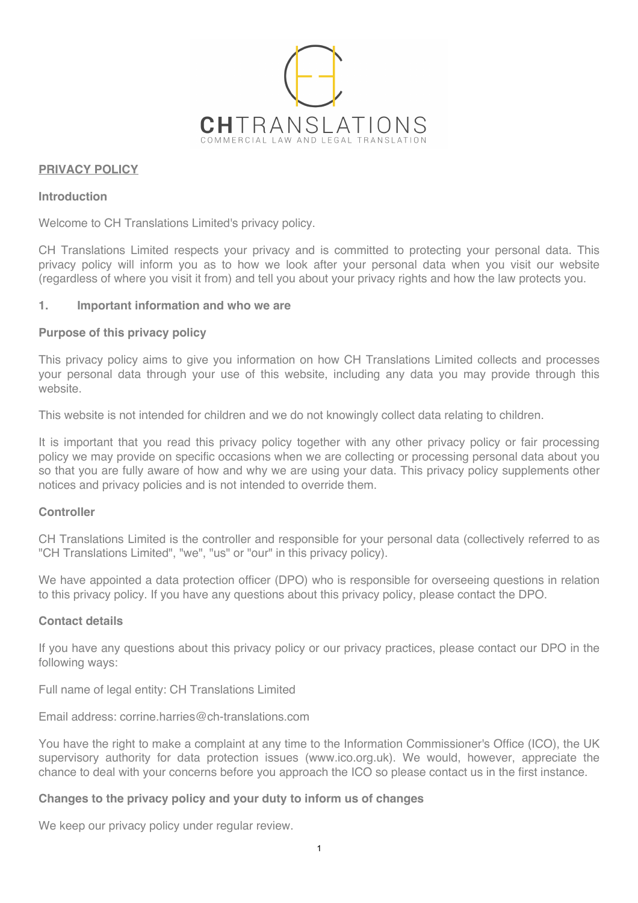

## **PRIVACY POLICY**

### **Introduction**

Welcome to CH Translations Limited's privacy policy.

CH Translations Limited respects your privacy and is committed to protecting your personal data. This privacy policy will inform you as to how we look after your personal data when you visit our website (regardless of where you visit it from) and tell you about your privacy rights and how the law protects you.

### **1. Important information and who we are**

### **Purpose of this privacy policy**

This privacy policy aims to give you information on how CH Translations Limited collects and processes your personal data through your use of this website, including any data you may provide through this website.

This website is not intended for children and we do not knowingly collect data relating to children.

It is important that you read this privacy policy together with any other privacy policy or fair processing policy we may provide on specific occasions when we are collecting or processing personal data about you so that you are fully aware of how and why we are using your data. This privacy policy supplements other notices and privacy policies and is not intended to override them.

### **Controller**

CH Translations Limited is the controller and responsible for your personal data (collectively referred to as "CH Translations Limited", "we", "us" or "our" in this privacy policy).

We have appointed a data protection officer (DPO) who is responsible for overseeing questions in relation to this privacy policy. If you have any questions about this privacy policy, please contact the DPO.

#### **Contact details**

If you have any questions about this privacy policy or our privacy practices, please contact our DPO in the following ways:

Full name of legal entity: CH Translations Limited

Email address: corrine.harries@ch-translations.com

You have the right to make a complaint at any time to the Information Commissioner's Office (ICO), the UK supervisory authority for data protection issues (www.ico.org.uk). We would, however, appreciate the chance to deal with your concerns before you approach the ICO so please contact us in the first instance.

#### **Changes to the privacy policy and your duty to inform us of changes**

We keep our privacy policy under regular review.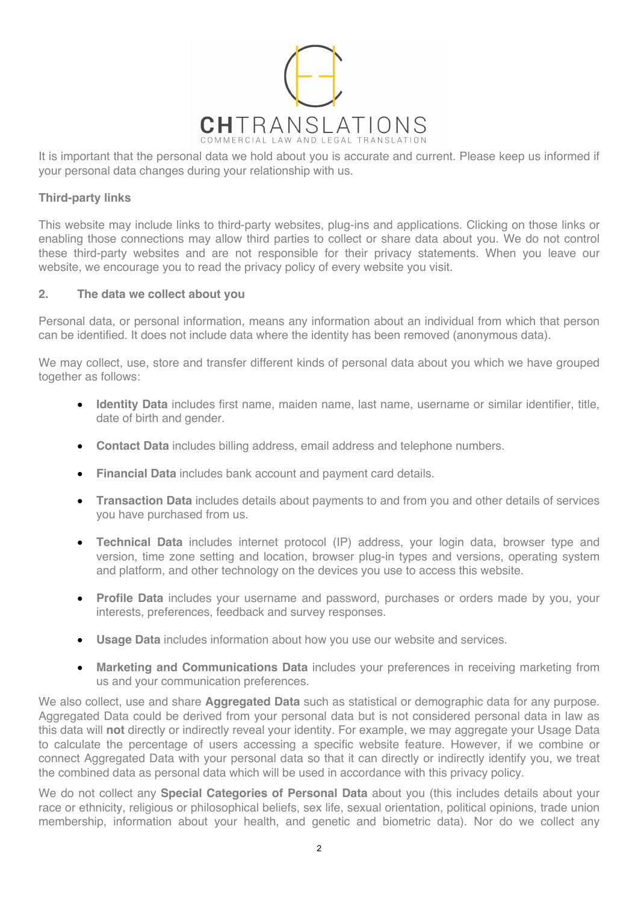

It is important that the personal data we hold about you is accurate and current. Please keep us informed if your personal data changes during your relationship with us.

# **Third-party links**

This website may include links to third-party websites, plug-ins and applications. Clicking on those links or enabling those connections may allow third parties to collect or share data about you. We do not control these third-party websites and are not responsible for their privacy statements. When you leave our website, we encourage you to read the privacy policy of every website you visit.

## **2. The data we collect about you**

Personal data, or personal information, means any information about an individual from which that person can be identified. It does not include data where the identity has been removed (anonymous data).

We may collect, use, store and transfer different kinds of personal data about you which we have grouped together as follows:

- **Identity Data** includes first name, maiden name, last name, username or similar identifier, title, date of birth and gender.
- **Contact Data** includes billing address, email address and telephone numbers.
- **Financial Data** includes bank account and payment card details.
- **Transaction Data** includes details about payments to and from you and other details of services you have purchased from us.
- **Technical Data** includes internet protocol (IP) address, your login data, browser type and version, time zone setting and location, browser plug-in types and versions, operating system and platform, and other technology on the devices you use to access this website.
- **Profile Data** includes your username and password, purchases or orders made by you, your interests, preferences, feedback and survey responses.
- **Usage Data** includes information about how you use our website and services.
- **Marketing and Communications Data** includes your preferences in receiving marketing from us and your communication preferences.

We also collect, use and share **Aggregated Data** such as statistical or demographic data for any purpose. Aggregated Data could be derived from your personal data but is not considered personal data in law as this data will **not** directly or indirectly reveal your identity. For example, we may aggregate your Usage Data to calculate the percentage of users accessing a specific website feature. However, if we combine or connect Aggregated Data with your personal data so that it can directly or indirectly identify you, we treat the combined data as personal data which will be used in accordance with this privacy policy.

We do not collect any **Special Categories of Personal Data** about you (this includes details about your race or ethnicity, religious or philosophical beliefs, sex life, sexual orientation, political opinions, trade union membership, information about your health, and genetic and biometric data). Nor do we collect any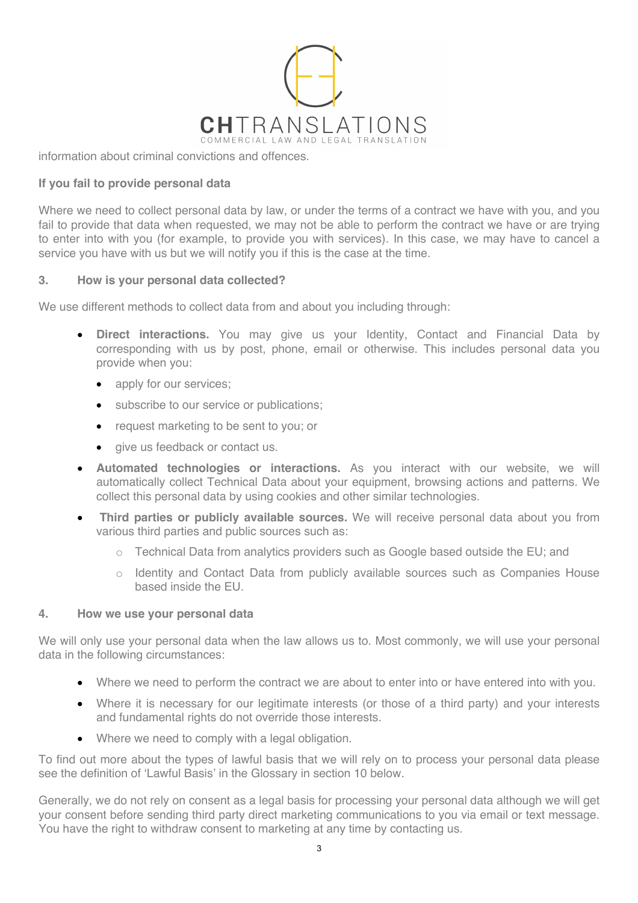

information about criminal convictions and offences.

## **If you fail to provide personal data**

Where we need to collect personal data by law, or under the terms of a contract we have with you, and you fail to provide that data when requested, we may not be able to perform the contract we have or are trying to enter into with you (for example, to provide you with services). In this case, we may have to cancel a service you have with us but we will notify you if this is the case at the time.

# **3. How is your personal data collected?**

We use different methods to collect data from and about you including through:

- **Direct interactions.** You may give us your Identity, Contact and Financial Data by corresponding with us by post, phone, email or otherwise. This includes personal data you provide when you:
	- apply for our services;
	- subscribe to our service or publications;
	- request marketing to be sent to you; or
	- give us feedback or contact us.
- **Automated technologies or interactions.** As you interact with our website, we will automatically collect Technical Data about your equipment, browsing actions and patterns. We collect this personal data by using cookies and other similar technologies.
- **Third parties or publicly available sources.** We will receive personal data about you from various third parties and public sources such as:
	- $\circ$  Technical Data from analytics providers such as Google based outside the EU; and
	- o Identity and Contact Data from publicly available sources such as Companies House based inside the EU.

## **4. How we use your personal data**

We will only use your personal data when the law allows us to. Most commonly, we will use your personal data in the following circumstances:

- Where we need to perform the contract we are about to enter into or have entered into with you.
- Where it is necessary for our legitimate interests (or those of a third party) and your interests and fundamental rights do not override those interests.
- Where we need to comply with a legal obligation.

To find out more about the types of lawful basis that we will rely on to process your personal data please see the definition of 'Lawful Basis' in the Glossary in section 10 below.

Generally, we do not rely on consent as a legal basis for processing your personal data although we will get your consent before sending third party direct marketing communications to you via email or text message. You have the right to withdraw consent to marketing at any time by contacting us.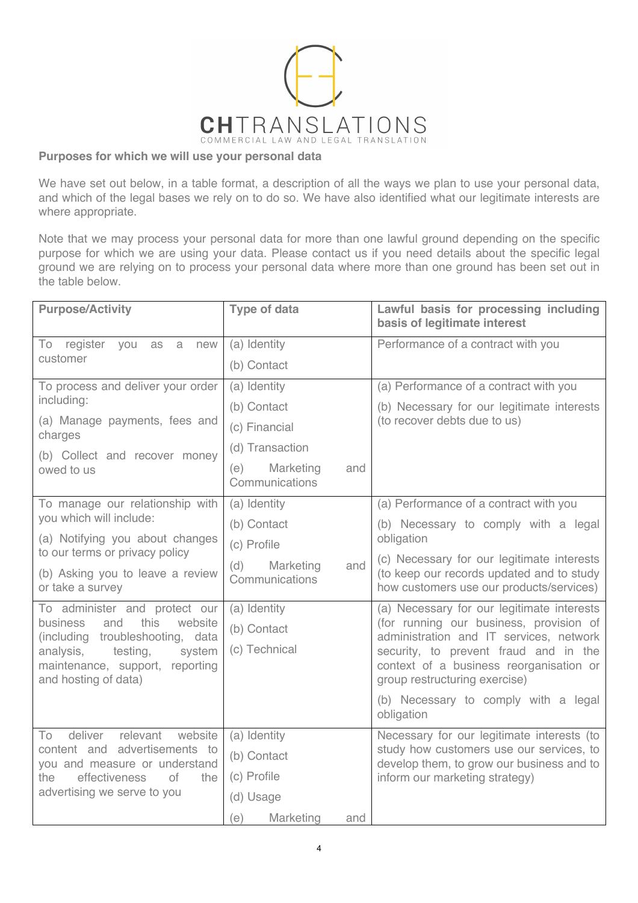

### **Purposes for which we will use your personal data**

We have set out below, in a table format, a description of all the ways we plan to use your personal data, and which of the legal bases we rely on to do so. We have also identified what our legitimate interests are where appropriate.

Note that we may process your personal data for more than one lawful ground depending on the specific purpose for which we are using your data. Please contact us if you need details about the specific legal ground we are relying on to process your personal data where more than one ground has been set out in the table below.

| <b>Purpose/Activity</b>                                                                                                                                                           | <b>Type of data</b>                       | Lawful basis for processing including<br>basis of legitimate interest                                                                                                 |
|-----------------------------------------------------------------------------------------------------------------------------------------------------------------------------------|-------------------------------------------|-----------------------------------------------------------------------------------------------------------------------------------------------------------------------|
| register<br>To<br>you<br>as<br>a new                                                                                                                                              | (a) Identity                              | Performance of a contract with you                                                                                                                                    |
| customer                                                                                                                                                                          | (b) Contact                               |                                                                                                                                                                       |
| To process and deliver your order                                                                                                                                                 | (a) Identity                              | (a) Performance of a contract with you                                                                                                                                |
| including:<br>(a) Manage payments, fees and<br>charges                                                                                                                            | (b) Contact                               | (b) Necessary for our legitimate interests<br>(to recover debts due to us)                                                                                            |
|                                                                                                                                                                                   | (c) Financial                             |                                                                                                                                                                       |
| (b) Collect and recover money<br>owed to us                                                                                                                                       | (d) Transaction                           |                                                                                                                                                                       |
|                                                                                                                                                                                   | Marketing<br>(e)<br>and<br>Communications |                                                                                                                                                                       |
| To manage our relationship with<br>you which will include:                                                                                                                        | (a) Identity                              | (a) Performance of a contract with you                                                                                                                                |
|                                                                                                                                                                                   | (b) Contact                               | (b) Necessary to comply with a legal                                                                                                                                  |
| (a) Notifying you about changes<br>to our terms or privacy policy                                                                                                                 | (c) Profile                               | obligation                                                                                                                                                            |
| (b) Asking you to leave a review<br>or take a survey                                                                                                                              | (d)<br>Marketing<br>and<br>Communications | (c) Necessary for our legitimate interests<br>(to keep our records updated and to study<br>how customers use our products/services)                                   |
| To administer and protect our<br>this<br>and<br>website<br>business<br>(including troubleshooting, data                                                                           | (a) Identity                              | (a) Necessary for our legitimate interests<br>(for running our business, provision of<br>administration and IT services, network                                      |
|                                                                                                                                                                                   | (b) Contact                               |                                                                                                                                                                       |
| analysis,<br>testing,<br>system<br>maintenance, support, reporting                                                                                                                | (c) Technical                             | security, to prevent fraud and in the<br>context of a business reorganisation or                                                                                      |
| and hosting of data)                                                                                                                                                              |                                           | group restructuring exercise)                                                                                                                                         |
|                                                                                                                                                                                   |                                           | (b) Necessary to comply with a legal<br>obligation                                                                                                                    |
| deliver<br>website<br>relevant<br>To<br>content and advertisements to<br>you and measure or understand<br>effectiveness<br>the<br><b>of</b><br>the<br>advertising we serve to you | (a) Identity                              | Necessary for our legitimate interests (to<br>study how customers use our services, to<br>develop them, to grow our business and to<br>inform our marketing strategy) |
|                                                                                                                                                                                   | (b) Contact                               |                                                                                                                                                                       |
|                                                                                                                                                                                   | (c) Profile                               |                                                                                                                                                                       |
|                                                                                                                                                                                   | (d) Usage                                 |                                                                                                                                                                       |
|                                                                                                                                                                                   | (e)<br>Marketing<br>and                   |                                                                                                                                                                       |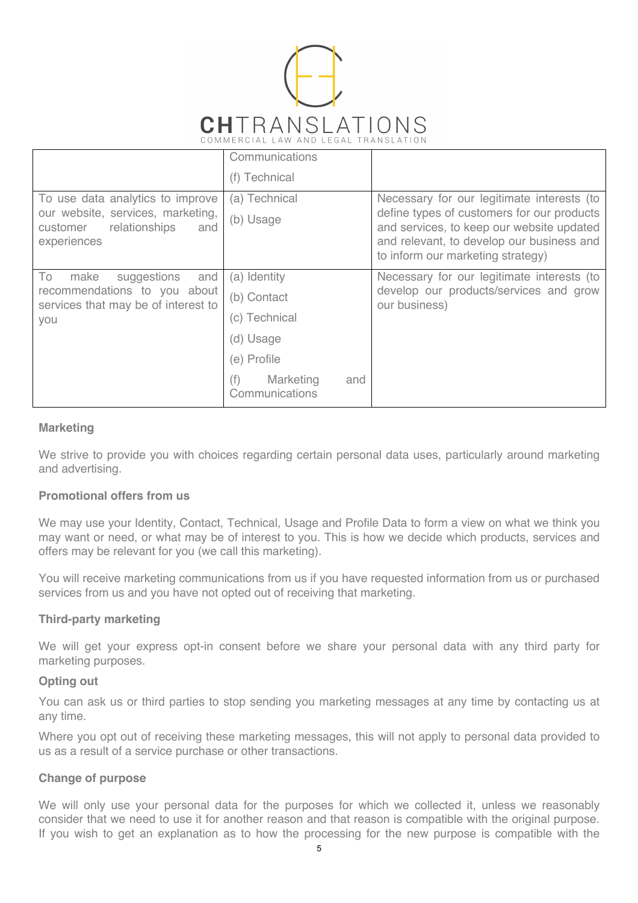

|                                                                                                                          | Communications                            |                                                                                                                                                                                                                         |
|--------------------------------------------------------------------------------------------------------------------------|-------------------------------------------|-------------------------------------------------------------------------------------------------------------------------------------------------------------------------------------------------------------------------|
|                                                                                                                          | (f) Technical                             |                                                                                                                                                                                                                         |
| To use data analytics to improve<br>our website, services, marketing,<br>relationships<br>customer<br>and<br>experiences | (a) Technical<br>(b) Usage                | Necessary for our legitimate interests (to<br>define types of customers for our products<br>and services, to keep our website updated<br>and relevant, to develop our business and<br>to inform our marketing strategy) |
| To<br>make<br>suggestions<br>and<br>recommendations to you about<br>services that may be of interest to<br>you           | (a) Identity                              | Necessary for our legitimate interests (to<br>develop our products/services and grow<br>our business)                                                                                                                   |
|                                                                                                                          | (b) Contact                               |                                                                                                                                                                                                                         |
|                                                                                                                          | (c) Technical                             |                                                                                                                                                                                                                         |
|                                                                                                                          | (d) Usage                                 |                                                                                                                                                                                                                         |
|                                                                                                                          | (e) Profile                               |                                                                                                                                                                                                                         |
|                                                                                                                          | (f)<br>Marketing<br>and<br>Communications |                                                                                                                                                                                                                         |

## **Marketing**

We strive to provide you with choices regarding certain personal data uses, particularly around marketing and advertising.

#### **Promotional offers from us**

We may use your Identity, Contact, Technical, Usage and Profile Data to form a view on what we think you may want or need, or what may be of interest to you. This is how we decide which products, services and offers may be relevant for you (we call this marketing).

You will receive marketing communications from us if you have requested information from us or purchased services from us and you have not opted out of receiving that marketing.

### **Third-party marketing**

We will get your express opt-in consent before we share your personal data with any third party for marketing purposes.

#### **Opting out**

You can ask us or third parties to stop sending you marketing messages at any time by contacting us at any time.

Where you opt out of receiving these marketing messages, this will not apply to personal data provided to us as a result of a service purchase or other transactions.

#### **Change of purpose**

We will only use your personal data for the purposes for which we collected it, unless we reasonably consider that we need to use it for another reason and that reason is compatible with the original purpose. If you wish to get an explanation as to how the processing for the new purpose is compatible with the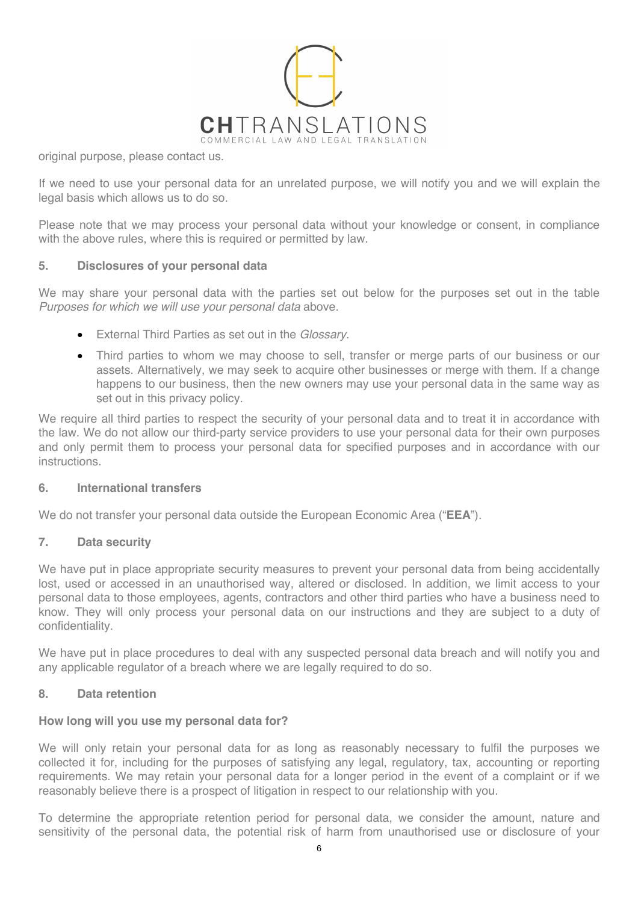

original purpose, please contact us.

If we need to use your personal data for an unrelated purpose, we will notify you and we will explain the legal basis which allows us to do so.

Please note that we may process your personal data without your knowledge or consent, in compliance with the above rules, where this is required or permitted by law.

## **5. Disclosures of your personal data**

We may share your personal data with the parties set out below for the purposes set out in the table *Purposes for which we will use your personal data* above.

- External Third Parties as set out in the *Glossary*.
- Third parties to whom we may choose to sell, transfer or merge parts of our business or our assets. Alternatively, we may seek to acquire other businesses or merge with them. If a change happens to our business, then the new owners may use your personal data in the same way as set out in this privacy policy.

We require all third parties to respect the security of your personal data and to treat it in accordance with the law. We do not allow our third-party service providers to use your personal data for their own purposes and only permit them to process your personal data for specified purposes and in accordance with our instructions.

### **6. International transfers**

We do not transfer your personal data outside the European Economic Area ("**EEA**").

#### **7. Data security**

We have put in place appropriate security measures to prevent your personal data from being accidentally lost, used or accessed in an unauthorised way, altered or disclosed. In addition, we limit access to your personal data to those employees, agents, contractors and other third parties who have a business need to know. They will only process your personal data on our instructions and they are subject to a duty of confidentiality.

We have put in place procedures to deal with any suspected personal data breach and will notify you and any applicable regulator of a breach where we are legally required to do so.

#### **8. Data retention**

#### **How long will you use my personal data for?**

We will only retain your personal data for as long as reasonably necessary to fulfil the purposes we collected it for, including for the purposes of satisfying any legal, regulatory, tax, accounting or reporting requirements. We may retain your personal data for a longer period in the event of a complaint or if we reasonably believe there is a prospect of litigation in respect to our relationship with you.

To determine the appropriate retention period for personal data, we consider the amount, nature and sensitivity of the personal data, the potential risk of harm from unauthorised use or disclosure of your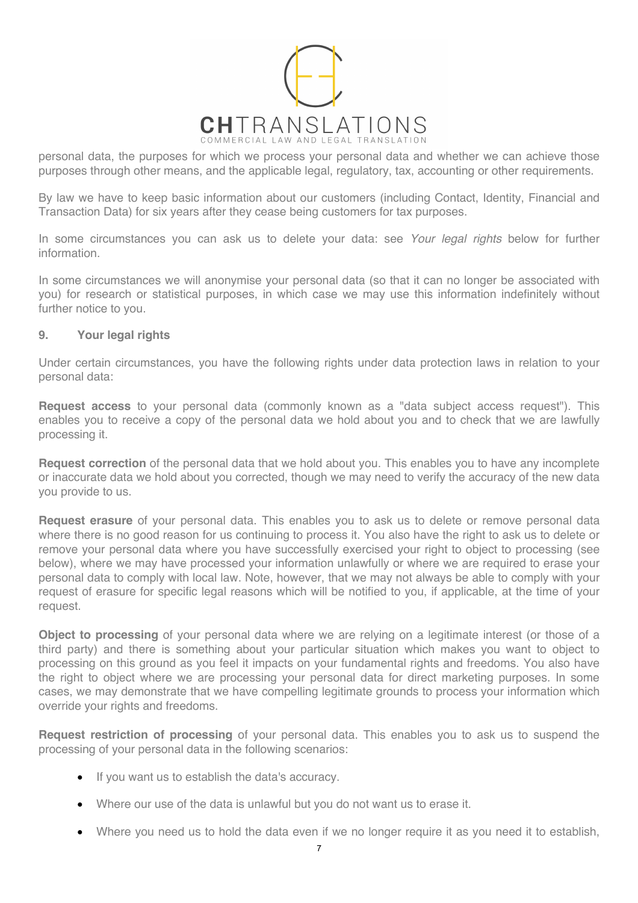

personal data, the purposes for which we process your personal data and whether we can achieve those purposes through other means, and the applicable legal, regulatory, tax, accounting or other requirements.

By law we have to keep basic information about our customers (including Contact, Identity, Financial and Transaction Data) for six years after they cease being customers for tax purposes.

In some circumstances you can ask us to delete your data: see *Your legal rights* below for further information.

In some circumstances we will anonymise your personal data (so that it can no longer be associated with you) for research or statistical purposes, in which case we may use this information indefinitely without further notice to you.

## **9. Your legal rights**

Under certain circumstances, you have the following rights under data protection laws in relation to your personal data:

**Request access** to your personal data (commonly known as a "data subject access request"). This enables you to receive a copy of the personal data we hold about you and to check that we are lawfully processing it.

**Request correction** of the personal data that we hold about you. This enables you to have any incomplete or inaccurate data we hold about you corrected, though we may need to verify the accuracy of the new data you provide to us.

**Request erasure** of your personal data. This enables you to ask us to delete or remove personal data where there is no good reason for us continuing to process it. You also have the right to ask us to delete or remove your personal data where you have successfully exercised your right to object to processing (see below), where we may have processed your information unlawfully or where we are required to erase your personal data to comply with local law. Note, however, that we may not always be able to comply with your request of erasure for specific legal reasons which will be notified to you, if applicable, at the time of your request.

**Object to processing** of your personal data where we are relying on a legitimate interest (or those of a third party) and there is something about your particular situation which makes you want to object to processing on this ground as you feel it impacts on your fundamental rights and freedoms. You also have the right to object where we are processing your personal data for direct marketing purposes. In some cases, we may demonstrate that we have compelling legitimate grounds to process your information which override your rights and freedoms.

**Request restriction of processing** of your personal data. This enables you to ask us to suspend the processing of your personal data in the following scenarios:

- If you want us to establish the data's accuracy.
- Where our use of the data is unlawful but you do not want us to erase it.
- Where you need us to hold the data even if we no longer require it as you need it to establish,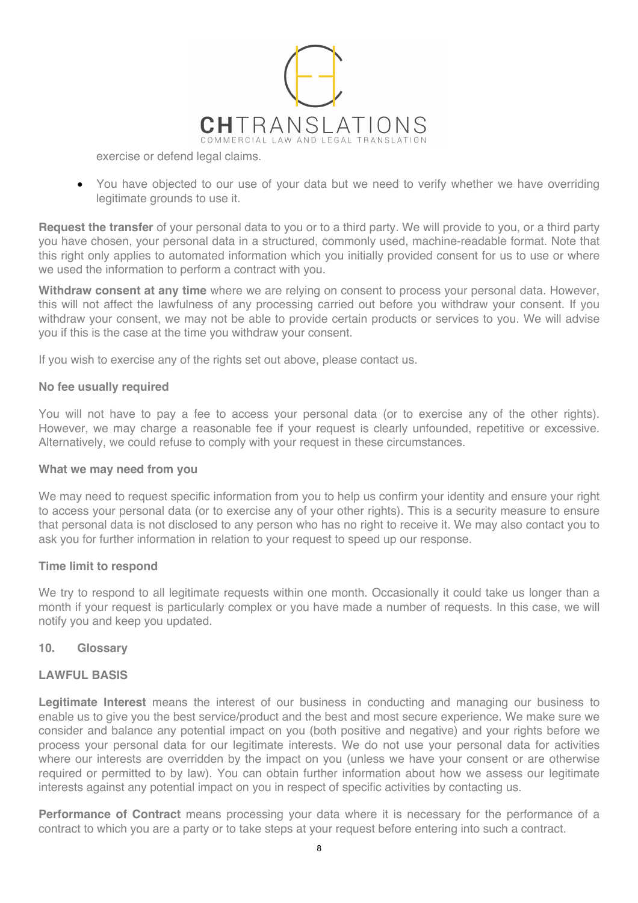

exercise or defend legal claims.

• You have objected to our use of your data but we need to verify whether we have overriding legitimate grounds to use it.

**Request the transfer** of your personal data to you or to a third party. We will provide to you, or a third party you have chosen, your personal data in a structured, commonly used, machine-readable format. Note that this right only applies to automated information which you initially provided consent for us to use or where we used the information to perform a contract with you.

**Withdraw consent at any time** where we are relying on consent to process your personal data. However, this will not affect the lawfulness of any processing carried out before you withdraw your consent. If you withdraw your consent, we may not be able to provide certain products or services to you. We will advise you if this is the case at the time you withdraw your consent.

If you wish to exercise any of the rights set out above, please contact us.

### **No fee usually required**

You will not have to pay a fee to access your personal data (or to exercise any of the other rights). However, we may charge a reasonable fee if your request is clearly unfounded, repetitive or excessive. Alternatively, we could refuse to comply with your request in these circumstances.

#### **What we may need from you**

We may need to request specific information from you to help us confirm your identity and ensure your right to access your personal data (or to exercise any of your other rights). This is a security measure to ensure that personal data is not disclosed to any person who has no right to receive it. We may also contact you to ask you for further information in relation to your request to speed up our response.

#### **Time limit to respond**

We try to respond to all legitimate requests within one month. Occasionally it could take us longer than a month if your request is particularly complex or you have made a number of requests. In this case, we will notify you and keep you updated.

#### **10. Glossary**

### **LAWFUL BASIS**

**Legitimate Interest** means the interest of our business in conducting and managing our business to enable us to give you the best service/product and the best and most secure experience. We make sure we consider and balance any potential impact on you (both positive and negative) and your rights before we process your personal data for our legitimate interests. We do not use your personal data for activities where our interests are overridden by the impact on you (unless we have your consent or are otherwise required or permitted to by law). You can obtain further information about how we assess our legitimate interests against any potential impact on you in respect of specific activities by contacting us.

**Performance of Contract** means processing your data where it is necessary for the performance of a contract to which you are a party or to take steps at your request before entering into such a contract.